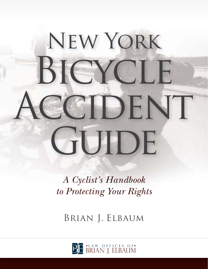# New York BICYCLE CCIDENT GUIDE

*A Cyclist's Handbook to Protecting Your Rights*

Brian J. Elbaum

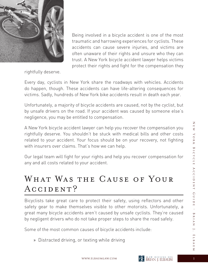

accidents can cause severe injuries, and victims are often unaware of their rights and unsure who they can trust. A New York bicycle accident lawyer helps victims protect their rights and fight for the compensation they

Being involved in a bicycle accident is one of the most traumatic and harrowing experiences for cyclists. These

rightfully deserve.

Every day, cyclists in New York share the roadways with vehicles. Accidents do happen, though. These accidents can have life-altering consequences for victims. Sadly, hundreds of New York bike accidents result in death each year.

Unfortunately, a majority of bicycle accidents are caused, not by the cyclist, but by unsafe drivers on the road. If your accident was caused by someone else's negligence, you may be entitled to compensation.

A New York bicycle accident lawyer can help you recover the compensation you rightfully deserve. You shouldn't be stuck with medical bills and other costs related to your accident. Your focus should be on your recovery, not fighting with insurers over claims. That's how we can help.

Our legal team will fight for your rights and help you recover compensation for any and all costs related to your accident.

#### WHAT WAS THE CAUSE OF YOUR ACCIDENT?

Bicyclists take great care to protect their safety, using reflectors and other safety gear to make themselves visible to other motorists. Unfortunately, a great many bicycle accidents aren't caused by unsafe cyclists. They're caused by negligent drivers who do not take proper steps to share the road safely.

Some of the most common causes of bicycle accidents include:

» Distracted driving, or texting while driving

 $\overline{\mathbb{Z}}$  $\mathbb R$   $\mathbb W$ 

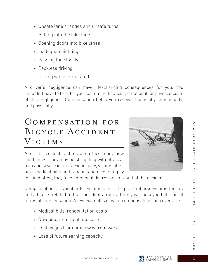- » Unsafe lane changes and unsafe turns
- » Pulling into the bike lane
- » Opening doors into bike lanes
- » Inadequate lighting
- » Passing too closely
- » Reckless driving
- » Driving while intoxicated

A driver's negligence can have life-changing consequences for you. You shouldn't have to fend for yourself on the financial, emotional, or physical costs of this negligence. Compensation helps you recover financially, emotionally, and physically.

### Compensation for BICYCLE ACCIDENT VICTIMS

After an accident, victims often face many new challenges. They may be struggling with physical pain and severe injuries. Financially, victims often have medical bills and rehabilitation costs to pay



for. And often, they face emotional distress as a result of the accident.

Compensation is available for victims, and it helps reimburse victims for any and all costs related to their accidents. Your attorney will help you fight for all forms of compensation. A few examples of what compensation can cover are:

- » Medical bills, rehabilitation costs
- » On-going treatment and care
- » Lost wages from time away from work
- » Loss of future earning capacity

 $\overline{z}$ 



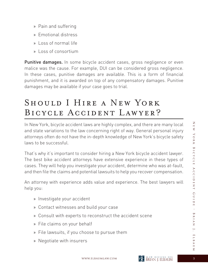- » Pain and suffering
- » Emotional distress
- » Loss of normal life
- » Loss of consortium

Punitive damages. In some bicycle accident cases, gross negligence or even malice was the cause. For example, DUI can be considered gross negligence. In these cases, punitive damages are available. This is a form of financial punishment, and it is awarded on top of any compensatory damages. Punitive damages may be available if your case goes to trial.

# SHOULD I HIRE A NEW YORK Bicycle Accident Lawyer?

In New York, bicycle accident laws are highly complex, and there are many local and state variations to the law concerning right of way. General personal injury attorneys often do not have the in-depth knowledge of New York's bicycle safety laws to be successful.

That's why it's important to consider hiring a New York bicycle accident lawyer. The best bike accident attorneys have extensive experience in these types of cases. They will help you investigate your accident, determine who was at-fault, and then file the claims and potential lawsuits to help you recover compensation.

An attorney with experience adds value and experience. The best lawyers will help you:

- » Investigate your accident
- » Contact witnesses and build your case
- » Consult with experts to reconstruct the accident scene
- » File claims on your behalf
- » File lawsuits, if you choose to pursue them
- » Negotiate with insurers



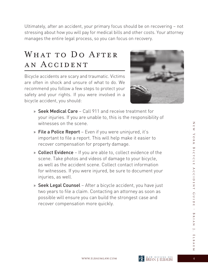Ultimately, after an accident, your primary focus should be on recovering – not stressing about how you will pay for medical bills and other costs. Your attorney manages the entire legal process, so you can focus on recovery.

# WHAT TO DO AFTER an Accident

Bicycle accidents are scary and traumatic. Victims are often in shock and unsure of what to do. We recommend you follow a few steps to protect your safety and your rights. If you were involved in a bicycle accident, you should:



- » Seek Medical Care Call 911 and receive treatment for your injuries. If you are unable to, this is the responsibility of witnesses on the scene.
- » File a Police Report Even if you were uninjured, it's important to file a report. This will help make it easier to recover compensation for property damage.
- » Collect Evidence If you are able to, collect evidence of the scene. Take photos and videos of damage to your bicycle, as well as the accident scene. Collect contact information for witnesses. If you were injured, be sure to document your injuries, as well.
- » Seek Legal Counsel After a bicycle accident, you have just two years to file a claim. Contacting an attorney as soon as possible will ensure you can build the strongest case and recover compensation more quickly.

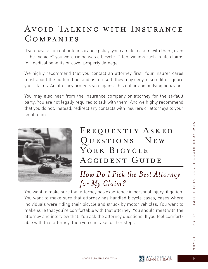# Avoid Talking with Insurance Companies

If you have a current auto insurance policy, you can file a claim with them, even if the "vehicle" you were riding was a bicycle. Often, victims rush to file claims for medical benefits or cover property damage.

We highly recommend that you contact an attorney first. Your insurer cares most about the bottom line, and as a result, they may deny, discredit or ignore your claims. An attorney protects you against this unfair and bullying behavior.

You may also hear from the insurance company or attorney for the at-fault party. You are not legally required to talk with them. And we highly recommend that you do not. Instead, redirect any contacts with insurers or attorneys to your legal team.



# FREQUENTLY ASKED Questions | New YORK BICYCLE Accident Guide

### *How Do I Pick the Best Attorney for My Claim?*

You want to make sure that attorney has experience in personal injury litigation. You want to make sure that attorney has handled bicycle cases, cases where individuals were riding their bicycle and struck by motor vehicles. You want to make sure that you're comfortable with that attorney. You should meet with the attorney and interview that. You ask the attorney questions. If you feel comfortable with that attorney, then you can take further steps.



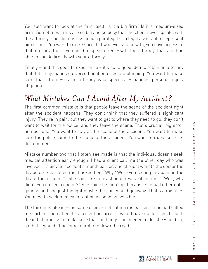You also want to look at the firm itself. Is it a big firm? Is it a medium-sized firm? Sometimes firms are so big and so busy that the client never speaks with the attorney. The client is assigned a paralegal or a legal assistant to represent him or her. You want to make sure that whoever you go with, you have access to that attorney, that if you need to speak directly with the attorney, that you'll be able to speak directly with your attorney.

Finally – and this goes to experience – it's not a good idea to retain an attorney that, let's say, handles divorce litigation or estate planning. You want to make sure that attorney is an attorney who specifically handles personal injury litigation.

#### *What Mistakes Can I Avoid After My Accident?*

The first common mistake is that people leave the scene of the accident right after the accident happens. They don't think that they suffered a significant injury. They're in pain, but they want to get to where they need to go, they don't want to wait for the police, and they leave the scene. That's crucial, big error number one. You want to stay at the scene of the accident. You want to make sure the police come to the scene of the accident. You want to make sure it's documented.

Mistake number two that I often see made is that the individual doesn't seek medical attention early enough. I had a client call me the other day who was involved in a bicycle accident a month earlier, and she just went to the doctor the day before she called me. I asked her, "Why? Were you feeling any pain on the day of the accident?" She said, "Yeah my shoulder was killing me." "Well, why didn't you go see a doctor?" She said she didn't go because she had other obligations and she just thought maybe the pain would go away. That's a mistake. You need to seek medical attention as soon as possible.

The third mistake is – the same client – not calling me earlier. If she had called me earlier, soon after the accident occurred, I would have guided her through the initial process to make sure that the things she needed to do, she would do, so that it wouldn't become a problem down the road.



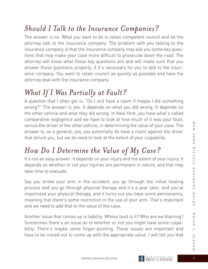#### *Should I Talk to the Insurance Companies?*

The answer is no. What you want to do is retain competent council and let the attorney talk to the insurance company. The problem with you talking to the insurance company is that the insurance company may ask you some key questions that may make your case more difficult to prosecute down the road. The attorney will know what those key questions are and will make sure that you answer those questions properly, if it's necessary for you to talk to the insurance company. You want to retain council as quickly as possible and have the attorney deal with the insurance company.

# *What If I Was Partially at Fault?*

A question that I often get is, "Do I still have a claim if maybe I did something wrong?" The answer is yes. It depends on what you did wrong. It depends on the other vehicle and what they did wrong. In New York, you have what's called comparative negligence and we have to look at how much of it was your fault, versus the driver of the other vehicle, in determining the value of your case. The answer is, as a general, yes, you potentially do have a claim against the driver that struck you, but we do need to look at the extent of your culpability.

# *How Do I Determine the Value of My Case?*

It's not an easy answer. It depends on your injury and the extent of your injury; it depends on whether or not your injuries are permanent in nature, and that may take time to evaluate.

Say you broke your arm in the accident, you go through the initial healing process and you go through physical therapy and it's a year later, and you've maximized your physical therapy, and it turns out you have some permanency, meaning that there's some restriction in the use of your arm. That's important and we need to add that to the value of the case.

Another issue that comes up is liability. Whose fault is it? Who are we blaming? Sometimes there's an issue as to whether or not you might have some culpability. There's maybe some finger-pointing. These issues are important and have to be ironed out to come up with the appropriate value. I will tell you that

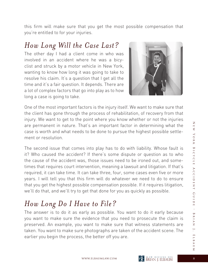this firm will make sure that you get the most possible compensation that you're entitled to for your injuries.

#### *How Long Will the Case Last?*

The other day I had a client come in who was involved in an accident where he was a bicyclist and struck by a motor vehicle in New York, wanting to know how long it was going to take to resolve his claim. It's a question that I get all the time and it's a fair question. It depends. There are a lot of complex factors that go into play as to how long a case is going to take.



One of the most important factors is the injury itself. We want to make sure that the client has gone through the process of rehabilitation, of recovery from that injury. We want to get to the point where you know whether or not the injuries are permanent in nature. That's an important factor in determining what the case is worth and what needs to be done to pursue the highest possible settlement or resolution.

The second issue that comes into play has to do with liability. Whose fault is it? Who caused the accident? If there's some dispute or question as to who the cause of the accident was, those issues need to be ironed out, and sometimes that requires court intervention, meaning a lawsuit and litigation. If that's required, it can take time. It can take three, four, some cases even five or more years. I will tell you that this firm will do whatever we need to do to ensure that you get the highest possible compensation possible. If it requires litigation, we'll do that, and we'll try to get that done for you as quickly as possible.

#### *How Long Do I Have to File?*

The answer is to do it as early as possible. You want to do it early because you want to make sure the evidence that you need to prosecute the claim is preserved. An example, you want to make sure that witness statements are taken. You want to make sure photographs are taken of the accident scene. The earlier you begin the process, the better off you are.

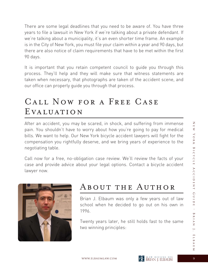There are some legal deadlines that you need to be aware of. You have three years to file a lawsuit in New York if we're talking about a private defendant. If we're talking about a municipality, it's an even shorter time frame. An example is in the City of New York, you must file your claim within a year and 90 days, but there are also notice of claim requirements that have to be met within the first 90 days.

It is important that you retain competent council to guide you through this process. They'll help and they will make sure that witness statements are taken when necessary, that photographs are taken of the accident scene, and our office can properly guide you through that process.

# Call Now for a Free Case EVALUATION

After an accident, you may be scared, in shock, and suffering from immense pain. You shouldn't have to worry about how you're going to pay for medical bills. We want to help. Our New York bicycle accident lawyers will fight for the compensation you rightfully deserve, and we bring years of experience to the negotiating table.

Call now for a free, no-obligation case review. We'll review the facts of your case and provide advice about your legal options. Contact a bicycle accident lawyer now.



#### About the Author

Brian J. Elbaum was only a few years out of law school when he decided to go out on his own in 1996.

Twenty years later, he still holds fast to the same two winning principles:

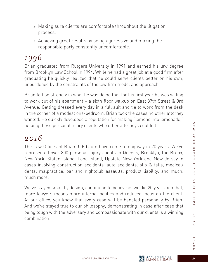- » Making sure clients are comfortable throughout the litigation process.
- » Achieving great results by being aggressive and making the responsible party constantly uncomfortable.

#### *1996*

Brian graduated from Rutgers University in 1991 and earned his law degree from Brooklyn Law School in 1994. While he had a great job at a good firm after graduating he quickly realized that he could serve clients better on his own, unburdened by the constraints of the law firm model and approach.

Brian felt so strongly in what he was doing that for his first year he was willing to work out of his apartment – a sixth floor walkup on East 37th Street & 3rd Avenue. Getting dressed every day in a full suit and tie to work from the desk in the corner of a modest one-bedroom, Brian took the cases no other attorney wanted. He quickly developed a reputation for making "lemons into lemonade," helping those personal injury clients who other attorneys couldn't.

#### *2016*

The Law Offices of Brian J. Elbaum have come a long way in 20 years. We've represented over 800 personal injury clients in Queens, Brooklyn, the Bronx, New York, Staten Island, Long Island, Upstate New York and New Jersey in cases involving construction accidents, auto accidents, slip & falls, medical/ dental malpractice, bar and nightclub assaults, product liability, and much, much more.

We've stayed small by design, continuing to believe as we did 20 years ago that, more lawyers means more internal politics and reduced focus on the client. At our office, you know that every case will be handled personally by Brian. And we've stayed true to our philosophy, demonstrating in case after case that being tough with the adversary and compassionate with our clients is a winning combination.

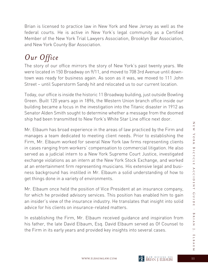Brian is licensed to practice law in New York and New Jersey as well as the federal courts. He is active in New York's legal community as a Certified Member of the New York Trial Lawyers Association, Brooklyn Bar Association, and New York County Bar Association.

#### *Our Office*

The story of our office mirrors the story of New York's past twenty years. We were located in 150 Broadway on 9/11, and moved to 708 3rd Avenue until downtown was ready for business again. As soon as it was, we moved to 111 John Street – until Superstorm Sandy hit and relocated us to our current location.

Today, our office is inside the historic 11 Broadway building, just outside Bowling Green. Built 120 years ago in 1896, the Western Union branch office inside our building became a focus in the investigation into the Titanic disaster in 1912 as Senator Alden Smith sought to determine whether a message from the doomed ship had been transmitted to New York's White Star Line office next door.

Mr. Elbaum has broad experience in the areas of law practiced by the Firm and manages a team dedicated to meeting client needs. Prior to establishing the Firm, Mr. Elbaum worked for several New York law firms representing clients in cases ranging from workers' compensation to commercial litigation. He also served as a judicial intern to a New York Supreme Court Justice, investigated exchange violations as an intern at the New York Stock Exchange, and worked at an entertainment firm representing musicians. His extensive legal and business background has instilled in Mr. Elbaum a solid understanding of how to get things done in a variety of environments.

Mr. Elbaum once held the position of Vice President at an insurance company, for which he provided advisory services. This position has enabled him to gain an insider's view of the insurance industry. He translates that insight into solid advice for his clients on insurance-related matters.

In establishing the Firm, Mr. Elbaum received guidance and inspiration from his father, the late David Elbaum, Esq. David Elbaum served as Of Counsel to the Firm in its early years and provided key insights into several cases.